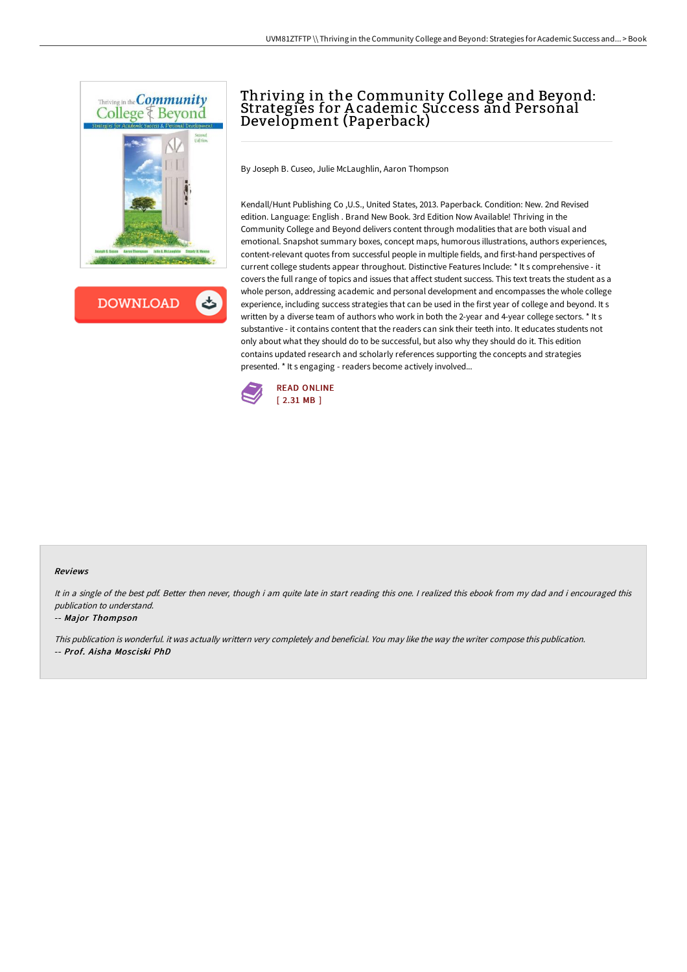



# Thriving in the Community College and Beyond: Strategies for A cademic Success and Personal Development (Paperback)

By Joseph B. Cuseo, Julie McLaughlin, Aaron Thompson

Kendall/Hunt Publishing Co ,U.S., United States, 2013. Paperback. Condition: New. 2nd Revised edition. Language: English . Brand New Book. 3rd Edition Now Available! Thriving in the Community College and Beyond delivers content through modalities that are both visual and emotional. Snapshot summary boxes, concept maps, humorous illustrations, authors experiences, content-relevant quotes from successful people in multiple fields, and first-hand perspectives of current college students appear throughout. Distinctive Features Include: \* It s comprehensive - it covers the full range of topics and issues that affect student success. This text treats the student as a whole person, addressing academic and personal development and encompasses the whole college experience, including success strategies that can be used in the first year of college and beyond. It s written by a diverse team of authors who work in both the 2-year and 4-year college sectors. \* It s substantive - it contains content that the readers can sink their teeth into. It educates students not only about what they should do to be successful, but also why they should do it. This edition contains updated research and scholarly references supporting the concepts and strategies presented. \* It s engaging - readers become actively involved...



#### Reviews

It in a single of the best pdf. Better then never, though i am quite late in start reading this one. I realized this ebook from my dad and i encouraged this publication to understand.

#### -- Major Thompson

This publication is wonderful. it was actually writtern very completely and beneficial. You may like the way the writer compose this publication. -- Prof. Aisha Mosciski PhD